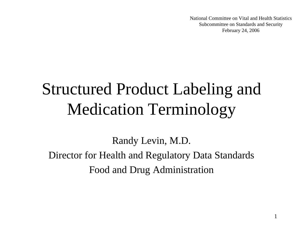National Committee on Vital and Health StatisticsSubcommittee on Standards and Security February 24, 2006

1

### Structured Product Labeling and Medication Terminology

Randy Levin, M.D. Director for Health and Regulatory Data Standards Food and Drug Administration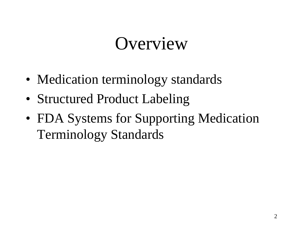### Overview

- Medication terminology standards
- Structured Product Labeling
- FDA Systems for Supporting Medication Terminology Standards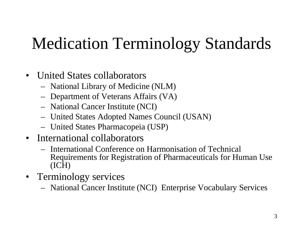- United States collaborators
	- National Library of Medicine (NLM)
	- Department of Veterans Affairs (VA)
	- National Cancer Institute (NCI)
	- United States Adopted Names Council (USAN)
	- United States Pharmacopeia (USP)
- International collaborators
	- International Conference on Harmonisation of Technical Requirements for Registration of Pharmaceuticals for Human Use (ICH)
- Terminology services
	- National Cancer Institute (NCI) Enterprise Vocabulary Services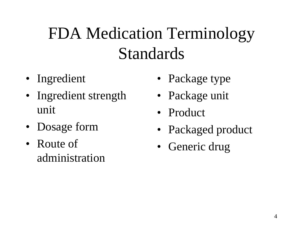- Ingredient
- Ingredient strength unit
- Dosage form
- Route of administration
- Package type
- Package unit
- Product
- Packaged product
- Generic drug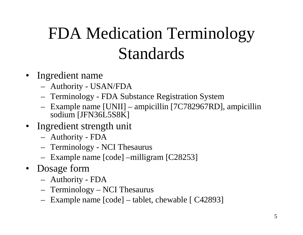- Ingredient name
	- Authority USAN/FDA
	- Terminology FDA Substance Registration System
	- Example name [UNII] ampicillin [7C782967RD], ampicillin sodium [JFN36L5S8K]
- Ingredient strength unit
	- Authority FDA
	- Terminology NCI Thesaurus
	- Example name [code] –milligram [C28253]
- Dosage form
	- Authority FDA
	- Terminology NCI Thesaurus
	- Example name [code] tablet, chewable [ C42893]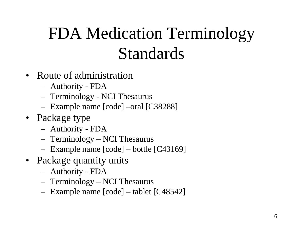- Route of administration
	- Authority FDA
	- Terminology NCI Thesaurus
	- Example name [code] –oral [C38288]
- Package type
	- Authority FDA
	- Terminology NCI Thesaurus
	- Example name [code] bottle [C43169]
- Package quantity units
	- Authority FDA
	- Terminology NCI Thesaurus
	- Example name [code] tablet [C48542]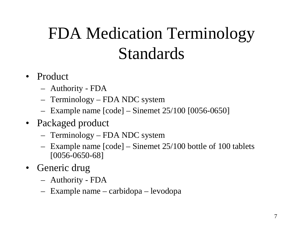- Product
	- Authority FDA
	- Terminology FDA NDC system
	- Example name [code] Sinemet 25/100 [0056-0650]
- Packaged product
	- Terminology FDA NDC system
	- Example name [code] Sinemet 25/100 bottle of 100 tablets [0056-0650-68]
- Generic drug
	- Authority FDA
	- Example name carbidopa levodopa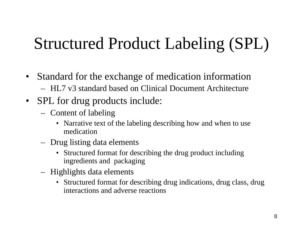### Structured Product Labeling (SPL)

- Standard for the exchange of medication information – HL7 v3 standard based on Clinical Document Architecture
- SPL for drug products include:
	- Content of labeling
		- Narrative text of the labeling describing how and when to use medication
	- Drug listing data elements
		- Structured format for describing the drug product including ingredients and packaging
	- Highlights data elements
		- Structured format for describing drug indications, drug class, drug interactions and adverse reactions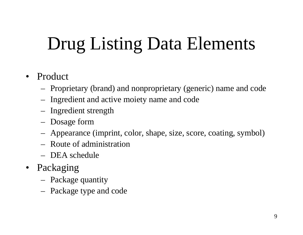# Drug Listing Data Elements

#### $\bullet$ Product

- Proprietary (brand) and nonproprietary (generic) name and code
- Ingredient and active moiety name and code
- Ingredient strength
- Dosage form
- Appearance (imprint, color, shape, size, score, coating, symbol)
- Route of administration
- DEA schedule
- Packaging
	- Package quantity
	- Package type and code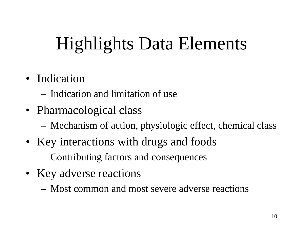# Highlights Data Elements

- Indication
	- Indication and limitation of use
- Pharmacological class
	- Mechanism of action, physiologic effect, chemical class
- Key interactions with drugs and foods
	- Contributing factors and consequences
- Key adverse reactions
	- Most common and most severe adverse reactions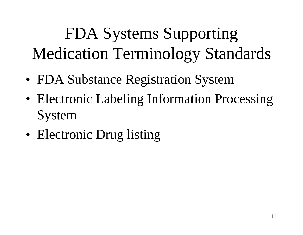### FDA Systems Supporting Medication Terminology Standards

- FDA Substance Registration System
- Electronic Labeling Information Processing System
- Electronic Drug listing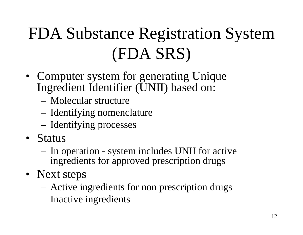## FDA Substance Registration System (FDA SRS)

- Computer system for generating Unique Ingredient Identifier (UNII) based on:
	- Molecular structure
	- Identifying nomenclature
	- Identifying processes
- Status
	- In operation system includes UNII for active ingredients for approved prescription drugs
- Next steps
	- Active ingredients for non prescription drugs
	- Inactive ingredients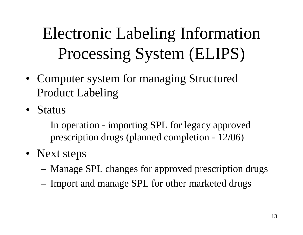# Electronic Labeling Information Processing System (ELIPS)

- Computer system for managing Structured Product Labeling
- Status
	- In operation importing SPL for legacy approved prescription drugs (planned completion - 12/06)
- Next steps
	- Manage SPL changes for approved prescription drugs
	- Import and manage SPL for other marketed drugs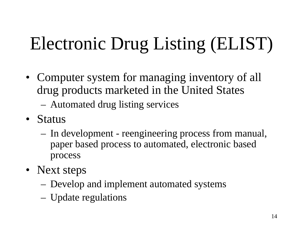# Electronic Drug Listing (ELIST)

- Computer system for managing inventory of all drug products marketed in the United States
	- Automated drug listing services
- Status
	- In development reengineering process from manual, paper based process to automated, electronic based process
- Next steps
	- Develop and implement automated systems
	- Update regulations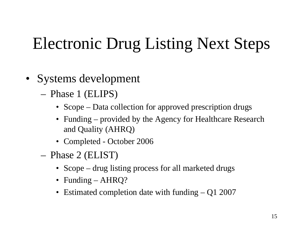### Electronic Drug Listing Next Steps

- Systems development
	- Phase 1 (ELIPS)
		- Scope Data collection for approved prescription drugs
		- Funding provided by the Agency for Healthcare Research and Quality (AHRQ)
		- Completed October 2006
	- Phase 2 (ELIST)
		- Scope drug listing process for all marketed drugs
		- Funding AHRQ?
		- Estimated completion date with funding Q1 2007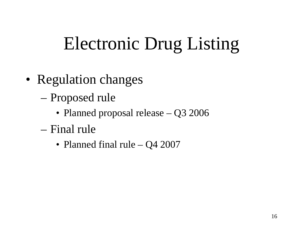# Electronic Drug Listing

- Regulation changes
	- Proposed rule
		- Planned proposal release Q3 2006
	- Final rule
		- Planned final rule Q4 2007